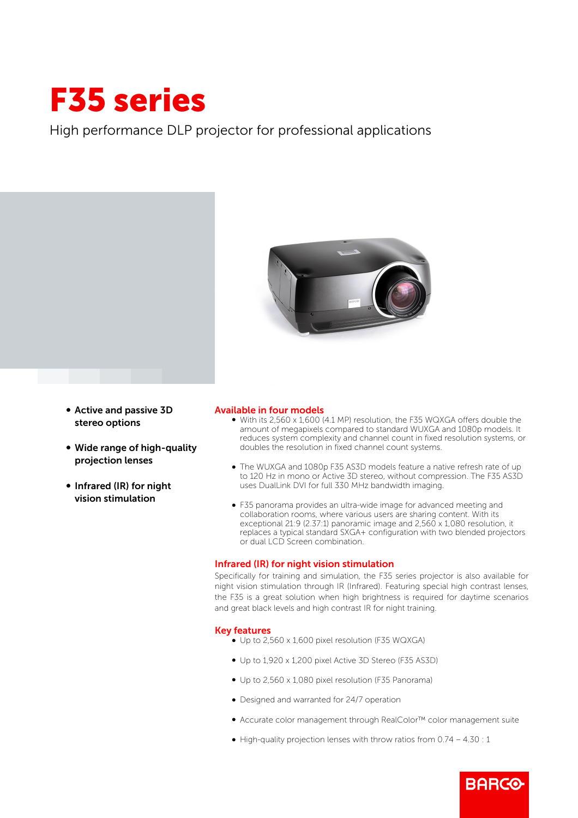# F35 series

High performance DLP projector for professional applications



- b Active and passive 3D stereo options
- Wide range of high-quality projection lenses
- Infrared (IR) for night vision stimulation

# Available in four models

- b With its 2,560 x 1,600 (4.1 MP) resolution, the F35 WQXGA offers double the amount of megapixels compared to standard WUXGA and 1080p models. It reduces system complexity and channel count in fixed resolution systems, or doubles the resolution in fixed channel count systems.
- The WUXGA and 1080p F35 AS3D models feature a native refresh rate of up to 120 Hz in mono or Active 3D stereo, without compression. The F35 AS3D uses DualLink DVI for full 330 MHz bandwidth imaging.
- b F35 panorama provides an ultra-wide image for advanced meeting and collaboration rooms, where various users are sharing content. With its exceptional 21:9 (2.37:1) panoramic image and 2,560 x 1,080 resolution, it replaces a typical standard SXGA+ configuration with two blended projectors or dual LCD Screen combination.

# Infrared (IR) for night vision stimulation

Specifically for training and simulation, the F35 series projector is also available for night vision stimulation through IR (Infrared). Featuring special high contrast lenses, the F35 is a great solution when high brightness is required for daytime scenarios and great black levels and high contrast IR for night training.

## Key features

- Up to 2,560 x 1,600 pixel resolution (F35 WQXGA)
- b Up to 1,920 x 1,200 pixel Active 3D Stereo (F35 AS3D)
- Up to 2,560 x 1,080 pixel resolution (F35 Panorama)
- Designed and warranted for 24/7 operation
- b Accurate color management through RealColor™ color management suite

**BARCO** 

 $\bullet$  High-quality projection lenses with throw ratios from 0.74 – 4.30 : 1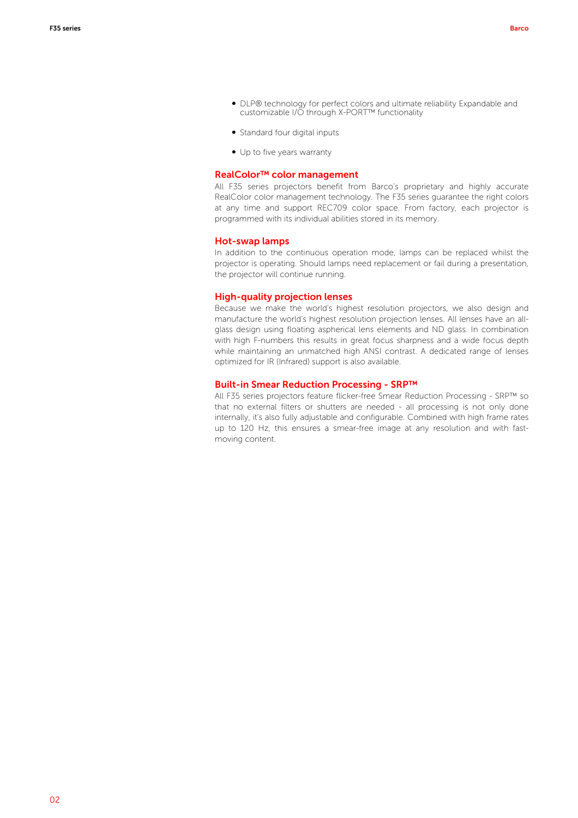- DLP® technology for perfect colors and ultimate reliability Expandable and customizable I/O through X-PORT™ functionality
- Standard four digital inputs
- Up to five years warranty

## RealColor™ color management

All F35 series projectors benefit from Barco's proprietary and highly accurate RealColor color management technology. The F35 series guarantee the right colors at any time and support REC709 color space. From factory, each projector is programmed with its individual abilities stored in its memory.

#### Hot-swap lamps

In addition to the continuous operation mode, lamps can be replaced whilst the projector is operating. Should lamps need replacement or fail during a presentation, the projector will continue running.

### High-quality projection lenses

Because we make the world's highest resolution projectors, we also design and manufacture the world's highest resolution projection lenses. All lenses have an allglass design using floating aspherical lens elements and ND glass. In combination with high F-numbers this results in great focus sharpness and a wide focus depth while maintaining an unmatched high ANSI contrast. A dedicated range of lenses optimized for IR (Infrared) support is also available.

### Built-in Smear Reduction Processing - SRP™

All F35 series projectors feature flicker-free Smear Reduction Processing - SRP™ so that no external filters or shutters are needed - all processing is not only done internally, it's also fully adjustable and configurable. Combined with high frame rates up to 120 Hz, this ensures a smear-free image at any resolution and with fastmoving content.